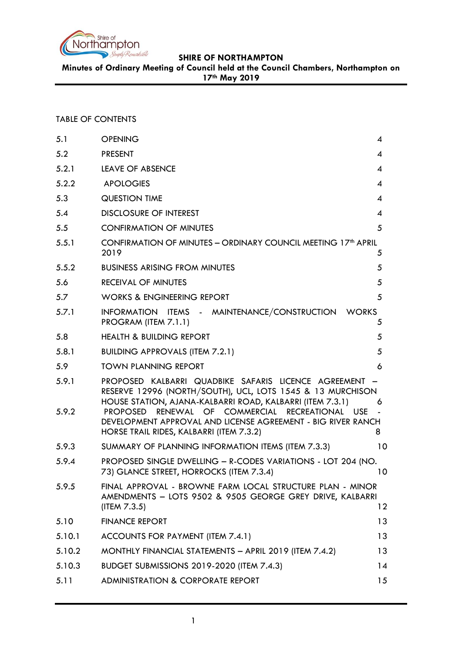

**Minutes of Ordinary Meeting of Council held at the Council Chambers, Northampton on 17th May 2019**

# TABLE OF CONTENTS

| <b>OPENING</b>                                                                                                                                                                                                                                                                                                                                    | 4              |
|---------------------------------------------------------------------------------------------------------------------------------------------------------------------------------------------------------------------------------------------------------------------------------------------------------------------------------------------------|----------------|
| <b>PRESENT</b>                                                                                                                                                                                                                                                                                                                                    | 4              |
| <b>LEAVE OF ABSENCE</b>                                                                                                                                                                                                                                                                                                                           | $\overline{A}$ |
| <b>APOLOGIES</b>                                                                                                                                                                                                                                                                                                                                  | 4              |
| <b>QUESTION TIME</b>                                                                                                                                                                                                                                                                                                                              | 4              |
| <b>DISCLOSURE OF INTEREST</b>                                                                                                                                                                                                                                                                                                                     | 4              |
| <b>CONFIRMATION OF MINUTES</b>                                                                                                                                                                                                                                                                                                                    | 5              |
| CONFIRMATION OF MINUTES - ORDINARY COUNCIL MEETING 17 <sup>th</sup> APRIL<br>2019                                                                                                                                                                                                                                                                 | 5              |
| <b>BUSINESS ARISING FROM MINUTES</b>                                                                                                                                                                                                                                                                                                              | 5              |
| <b>RECEIVAL OF MINUTES</b>                                                                                                                                                                                                                                                                                                                        | 5              |
| <b>WORKS &amp; ENGINEERING REPORT</b>                                                                                                                                                                                                                                                                                                             | 5              |
| INFORMATION ITEMS - MAINTENANCE/CONSTRUCTION<br><b>WORKS</b><br>PROGRAM (ITEM 7.1.1)                                                                                                                                                                                                                                                              | 5              |
| <b>HEALTH &amp; BUILDING REPORT</b>                                                                                                                                                                                                                                                                                                               | 5              |
| <b>BUILDING APPROVALS (ITEM 7.2.1)</b>                                                                                                                                                                                                                                                                                                            | 5              |
| <b>TOWN PLANNING REPORT</b>                                                                                                                                                                                                                                                                                                                       | 6              |
| PROPOSED KALBARRI QUADBIKE SAFARIS LICENCE AGREEMENT<br>RESERVE 12996 (NORTH/SOUTH), UCL, LOTS 1545 & 13 MURCHISON<br>HOUSE STATION, AJANA-KALBARRI ROAD, KALBARRI (ITEM 7.3.1)<br>RENEWAL OF COMMERCIAL RECREATIONAL USE<br>PROPOSED<br>DEVELOPMENT APPROVAL AND LICENSE AGREEMENT - BIG RIVER RANCH<br>HORSE TRAIL RIDES, KALBARRI (ITEM 7.3.2) | 6<br>8         |
| SUMMARY OF PLANNING INFORMATION ITEMS (ITEM 7.3.3)                                                                                                                                                                                                                                                                                                | 10             |
| PROPOSED SINGLE DWELLING - R-CODES VARIATIONS - LOT 204 (NO.<br>73) GLANCE STREET, HORROCKS (ITEM 7.3.4)                                                                                                                                                                                                                                          | 10             |
| FINAL APPROVAL - BROWNE FARM LOCAL STRUCTURE PLAN - MINOR<br>AMENDMENTS - LOTS 9502 & 9505 GEORGE GREY DRIVE, KALBARRI<br>(ITER 7.3.5)                                                                                                                                                                                                            | $12 \,$        |
| <b>FINANCE REPORT</b>                                                                                                                                                                                                                                                                                                                             | 13             |
| ACCOUNTS FOR PAYMENT (ITEM 7.4.1)                                                                                                                                                                                                                                                                                                                 | 13             |
| MONTHLY FINANCIAL STATEMENTS - APRIL 2019 (ITEM 7.4.2)                                                                                                                                                                                                                                                                                            | 13             |
| BUDGET SUBMISSIONS 2019-2020 (ITEM 7.4.3)                                                                                                                                                                                                                                                                                                         | 14             |
| <b>ADMINISTRATION &amp; CORPORATE REPORT</b>                                                                                                                                                                                                                                                                                                      | 15             |
|                                                                                                                                                                                                                                                                                                                                                   |                |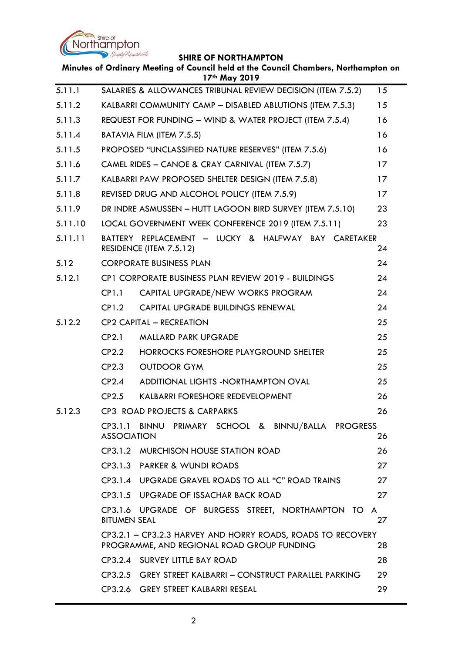

÷.

|         |                     | Minutes of Ordinary Meeting of Council held at the Council Chambers, Northampton on<br>17th May 2019      |    |
|---------|---------------------|-----------------------------------------------------------------------------------------------------------|----|
| 5.11.1  |                     | SALARIES & ALLOWANCES TRIBUNAL REVIEW DECISION (ITEM 7.5.2)                                               | 15 |
| 5.11.2  |                     | KALBARRI COMMUNITY CAMP - DISABLED ABLUTIONS (ITEM 7.5.3)                                                 | 15 |
| 5.11.3  |                     | REQUEST FOR FUNDING - WIND & WATER PROJECT (ITEM 7.5.4)                                                   | 16 |
| 5.11.4  |                     | BATAVIA FILM (ITEM 7.5.5)                                                                                 | 16 |
| 5.11.5  |                     | PROPOSED "UNCLASSIFIED NATURE RESERVES" (ITEM 7.5.6)                                                      | 16 |
| 5.11.6  |                     | CAMEL RIDES - CANOE & CRAY CARNIVAL (ITEM 7.5.7)                                                          | 17 |
| 5.11.7  |                     | KALBARRI PAW PROPOSED SHELTER DESIGN (ITEM 7.5.8)                                                         | 17 |
| 5.11.8  |                     | REVISED DRUG AND ALCOHOL POLICY (ITEM 7.5.9)                                                              | 17 |
| 5.11.9  |                     | DR INDRE ASMUSSEN - HUTT LAGOON BIRD SURVEY (ITEM 7.5.10)                                                 | 23 |
| 5.11.10 |                     | LOCAL GOVERNMENT WEEK CONFERENCE 2019 (ITEM 7.5.11)                                                       | 23 |
| 5.11.11 |                     | BATTERY REPLACEMENT - LUCKY & HALFWAY BAY CARETAKER<br>RESIDENCE (ITEM 7.5.12)                            | 24 |
| 5.12    |                     | <b>CORPORATE BUSINESS PLAN</b>                                                                            | 24 |
| 5.12.1  |                     | CP1 CORPORATE BUSINESS PLAN REVIEW 2019 - BUILDINGS                                                       | 24 |
|         | CP1.1               | CAPITAL UPGRADE/NEW WORKS PROGRAM                                                                         | 24 |
|         | CP1.2               | CAPITAL UPGRADE BUILDINGS RENEWAL                                                                         | 24 |
| 5.12.2  |                     | <b>CP2 CAPITAL - RECREATION</b>                                                                           | 25 |
|         | CP2.1               | <b>MALLARD PARK UPGRADE</b>                                                                               | 25 |
|         | CP <sub>2.2</sub>   | HORROCKS FORESHORE PLAYGROUND SHELTER                                                                     | 25 |
|         | CP2.3               | <b>OUTDOOR GYM</b>                                                                                        | 25 |
|         | CP2.4               | ADDITIONAL LIGHTS - NORTHAMPTON OVAL                                                                      | 25 |
|         | CP2.5               | KALBARRI FORESHORE REDEVELOPMENT                                                                          | 26 |
| 5.12.3  |                     | CP3 ROAD PROJECTS & CARPARKS                                                                              | 26 |
|         | <b>ASSOCIATION</b>  | CP3.1.1 BINNU PRIMARY SCHOOL & BINNU/BALLA PROGRESS                                                       | 26 |
|         |                     | CP3.1.2 MURCHISON HOUSE STATION ROAD                                                                      | 26 |
|         |                     | CP3.1.3 PARKER & WUNDI ROADS                                                                              | 27 |
|         |                     | CP3.1.4 UPGRADE GRAVEL ROADS TO ALL "C" ROAD TRAINS                                                       | 27 |
|         |                     | CP3.1.5 UPGRADE OF ISSACHAR BACK ROAD                                                                     | 27 |
|         | <b>BITUMEN SEAL</b> | CP3.1.6 UPGRADE OF BURGESS STREET, NORTHAMPTON TO A                                                       | 27 |
|         |                     | CP3.2.1 - CP3.2.3 HARVEY AND HORRY ROADS, ROADS TO RECOVERY<br>PROGRAMME, AND REGIONAL ROAD GROUP FUNDING | 28 |
|         |                     | CP3.2.4 SURVEY LITTLE BAY ROAD                                                                            | 28 |
|         |                     | CP3.2.5 GREY STREET KALBARRI - CONSTRUCT PARALLEL PARKING                                                 | 29 |
|         |                     | CP3.2.6 GREY STREET KALBARRI RESEAL                                                                       | 29 |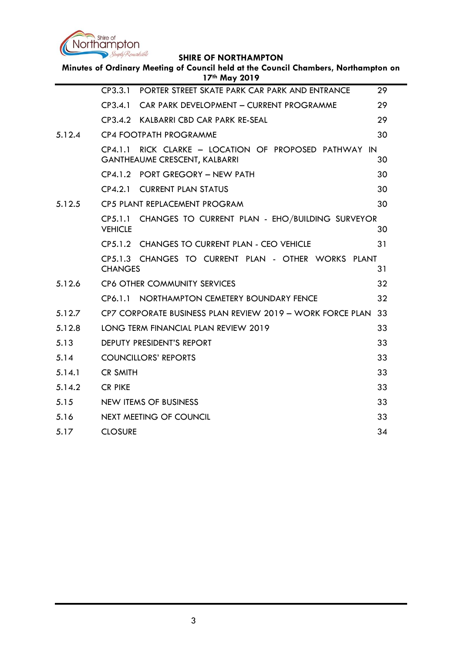

| Minutes of Ordinary Meeting of Council held at the Council Chambers, Northampton on<br>17th May 2019 |                                                                                                  |    |  |
|------------------------------------------------------------------------------------------------------|--------------------------------------------------------------------------------------------------|----|--|
|                                                                                                      | PORTER STREET SKATE PARK CAR PARK AND ENTRANCE<br>CP3.3.1                                        | 29 |  |
|                                                                                                      | CAR PARK DEVELOPMENT - CURRENT PROGRAMME<br>CP3.4.1                                              | 29 |  |
|                                                                                                      | CP3.4.2 KALBARRI CBD CAR PARK RE-SEAL                                                            | 29 |  |
| 5.12.4                                                                                               | CP4 FOOTPATH PROGRAMME                                                                           | 30 |  |
|                                                                                                      | RICK CLARKE - LOCATION OF PROPOSED PATHWAY IN<br>CP4.1.1<br><b>GANTHEAUME CRESCENT, KALBARRI</b> | 30 |  |
|                                                                                                      | CP4.1.2 PORT GREGORY - NEW PATH                                                                  | 30 |  |
|                                                                                                      | CP4.2.1 CURRENT PLAN STATUS                                                                      | 30 |  |
| 5.12.5                                                                                               | CP5 PLANT REPLACEMENT PROGRAM                                                                    | 30 |  |
|                                                                                                      | CP5.1.1 CHANGES TO CURRENT PLAN - EHO/BUILDING SURVEYOR<br><b>VEHICLE</b>                        | 30 |  |
|                                                                                                      | CP5.1.2 CHANGES TO CURRENT PLAN - CEO VEHICLE                                                    | 31 |  |
|                                                                                                      | CP5.1.3 CHANGES TO CURRENT PLAN - OTHER WORKS PLANT<br><b>CHANGES</b>                            | 31 |  |
| 5.12.6                                                                                               | <b>CP6 OTHER COMMUNITY SERVICES</b>                                                              | 32 |  |
|                                                                                                      | CP6.1.1 NORTHAMPTON CEMETERY BOUNDARY FENCE                                                      | 32 |  |
| 5.12.7                                                                                               | CP7 CORPORATE BUSINESS PLAN REVIEW 2019 - WORK FORCE PLAN 33                                     |    |  |
| 5.12.8                                                                                               | LONG TERM FINANCIAL PLAN REVIEW 2019                                                             | 33 |  |
| 5.13                                                                                                 | DEPUTY PRESIDENT'S REPORT                                                                        | 33 |  |
| 5.14                                                                                                 | <b>COUNCILLORS' REPORTS</b>                                                                      | 33 |  |
| 5.14.1                                                                                               | <b>CR SMITH</b>                                                                                  | 33 |  |
| 5.14.2                                                                                               | <b>CR PIKE</b>                                                                                   | 33 |  |
| 5.15                                                                                                 | NEW ITEMS OF BUSINESS                                                                            | 33 |  |
| 5.16                                                                                                 | <b>NEXT MEETING OF COUNCIL</b>                                                                   | 33 |  |
| 5.17                                                                                                 | <b>CLOSURE</b>                                                                                   | 34 |  |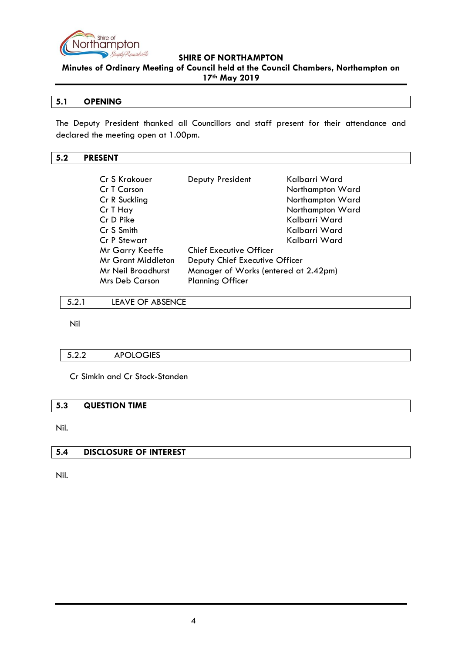

**Minutes of Ordinary Meeting of Council held at the Council Chambers, Northampton on 17th May 2019**

## <span id="page-3-0"></span>**5.1 OPENING**

The Deputy President thanked all Councillors and staff present for their attendance and declared the meeting open at 1.00pm.

## <span id="page-3-1"></span>**5.2 PRESENT**

| Cr S Krakouer<br>Cr T Carson<br>Cr R Suckling<br>Cr T Hay<br>Cr D Pike<br>Cr S Smith | Deputy President                     | Kalbarri Ward<br>Northampton Ward<br>Northampton Ward<br>Northampton Ward<br>Kalbarri Ward<br>Kalbarri Ward |
|--------------------------------------------------------------------------------------|--------------------------------------|-------------------------------------------------------------------------------------------------------------|
| Cr P Stewart                                                                         |                                      | Kalbarri Ward                                                                                               |
| Mr Garry Keeffe                                                                      | Chief Executive Officer              |                                                                                                             |
| <b>Mr Grant Middleton</b>                                                            | Deputy Chief Executive Officer       |                                                                                                             |
| Mr Neil Broadhurst                                                                   | Manager of Works (entered at 2.42pm) |                                                                                                             |
| <b>Mrs Deb Carson</b>                                                                | <b>Planning Officer</b>              |                                                                                                             |

<span id="page-3-2"></span>5.2.1 LEAVE OF ABSENCE

Nil

## <span id="page-3-3"></span>5.2.2 APOLOGIES

Cr Simkin and Cr Stock-Standen

#### <span id="page-3-4"></span>**5.3 QUESTION TIME**

Nil.

#### <span id="page-3-5"></span>**5.4 DISCLOSURE OF INTEREST**

Nil.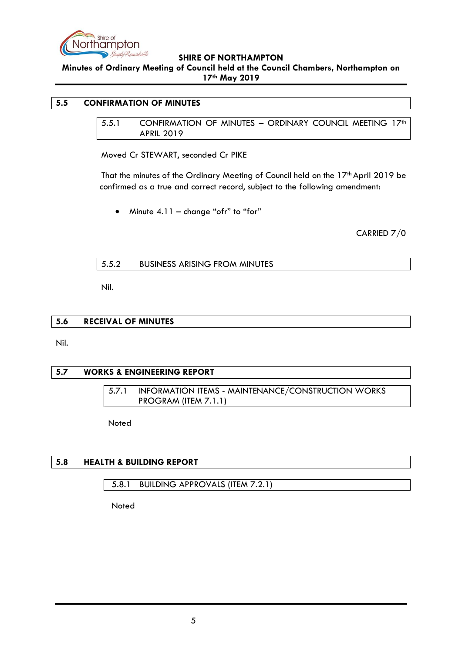

**Minutes of Ordinary Meeting of Council held at the Council Chambers, Northampton on 17th May 2019**

### <span id="page-4-1"></span><span id="page-4-0"></span>**5.5 CONFIRMATION OF MINUTES**

5.5.1 CONFIRMATION OF MINUTES - ORDINARY COUNCIL MEETING 17<sup>th</sup> APRIL 2019

Moved Cr STEWART, seconded Cr PIKE

That the minutes of the Ordinary Meeting of Council held on the 17<sup>th</sup> April 2019 be confirmed as a true and correct record, subject to the following amendment:

• Minute 4.11 – change "ofr" to "for"

CARRIED 7/0

### <span id="page-4-2"></span>5.5.2 BUSINESS ARISING FROM MINUTES

Nil.

#### <span id="page-4-3"></span>**5.6 RECEIVAL OF MINUTES**

Nil.

#### <span id="page-4-5"></span><span id="page-4-4"></span>**5.7 WORKS & ENGINEERING REPORT**

5.7.1 INFORMATION ITEMS - MAINTENANCE/CONSTRUCTION WORKS PROGRAM (ITEM 7.1.1)

Noted

## <span id="page-4-6"></span>**5.8 HEALTH & BUILDING REPORT**

<span id="page-4-7"></span>5.8.1 BUILDING APPROVALS (ITEM 7.2.1)

Noted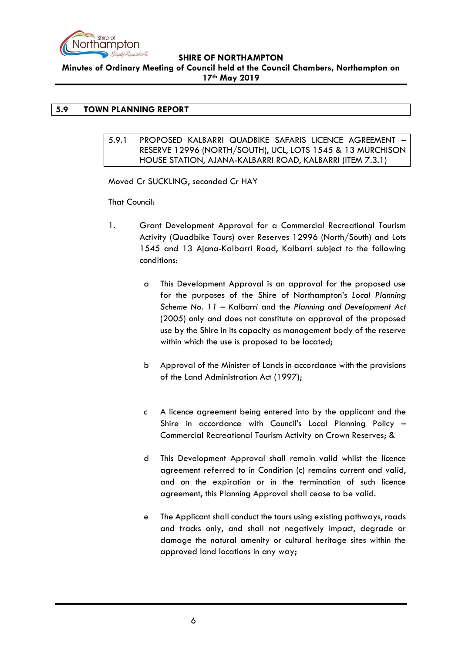

**Minutes of Ordinary Meeting of Council held at the Council Chambers, Northampton on 17th May 2019**

## <span id="page-5-1"></span><span id="page-5-0"></span>**5.9 TOWN PLANNING REPORT**

### 5.9.1 PROPOSED KALBARRI QUADBIKE SAFARIS LICENCE AGREEMENT – RESERVE 12996 (NORTH/SOUTH), UCL, LOTS 1545 & 13 MURCHISON HOUSE STATION, AJANA-KALBARRI ROAD, KALBARRI (ITEM 7.3.1)

Moved Cr SUCKLING, seconded Cr HAY

That Council:

- 1. Grant Development Approval for a Commercial Recreational Tourism Activity (Quadbike Tours) over Reserves 12996 (North/South) and Lots 1545 and 13 Ajana-Kalbarri Road, Kalbarri subject to the following conditions:
	- a This Development Approval is an approval for the proposed use for the purposes of the Shire of Northampton's *Local Planning Scheme No. 11 – Kalbarri* and the *Planning and Development Act*  (2005) only and does not constitute an approval of the proposed use by the Shire in its capacity as management body of the reserve within which the use is proposed to be located;
	- b Approval of the Minister of Lands in accordance with the provisions of the Land Administration Act (1997);
	- c A licence agreement being entered into by the applicant and the Shire in accordance with Council's Local Planning Policy – Commercial Recreational Tourism Activity on Crown Reserves; &
	- d This Development Approval shall remain valid whilst the licence agreement referred to in Condition (c) remains current and valid, and on the expiration or in the termination of such licence agreement, this Planning Approval shall cease to be valid.
	- e The Applicant shall conduct the tours using existing pathways, roads and tracks only, and shall not negatively impact, degrade or damage the natural amenity or cultural heritage sites within the approved land locations in any way;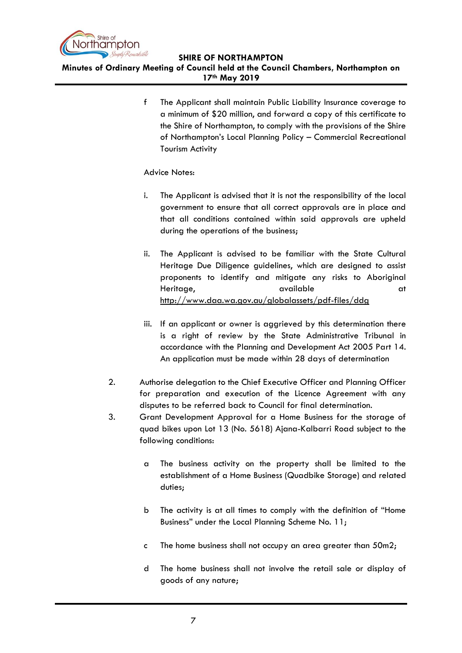

**Minutes of Ordinary Meeting of Council held at the Council Chambers, Northampton on 17th May 2019**

> f The Applicant shall maintain Public Liability Insurance coverage to a minimum of \$20 million, and forward a copy of this certificate to the Shire of Northampton, to comply with the provisions of the Shire of Northampton's Local Planning Policy – Commercial Recreational Tourism Activity

## Advice Notes:

- i. The Applicant is advised that it is not the responsibility of the local government to ensure that all correct approvals are in place and that all conditions contained within said approvals are upheld during the operations of the business;
- ii. The Applicant is advised to be familiar with the State Cultural Heritage Due Diligence guidelines, which are designed to assist proponents to identify and mitigate any risks to Aboriginal Heritage, and available at the state at the state at the state at a state at a state at a state at a state at  $\alpha t$ <http://www.daa.wa.gov.au/globalassets/pdf-files/ddg>
- iii. If an applicant or owner is aggrieved by this determination there is a right of review by the State Administrative Tribunal in accordance with the Planning and Development Act 2005 Part 14. An application must be made within 28 days of determination
- 2. Authorise delegation to the Chief Executive Officer and Planning Officer for preparation and execution of the Licence Agreement with any disputes to be referred back to Council for final determination.
- 3. Grant Development Approval for a Home Business for the storage of quad bikes upon Lot 13 (No. 5618) Ajana-Kalbarri Road subject to the following conditions:
	- a The business activity on the property shall be limited to the establishment of a Home Business (Quadbike Storage) and related duties;
	- b The activity is at all times to comply with the definition of "Home Business" under the Local Planning Scheme No. 11;
	- c The home business shall not occupy an area greater than 50m2;
	- d The home business shall not involve the retail sale or display of goods of any nature;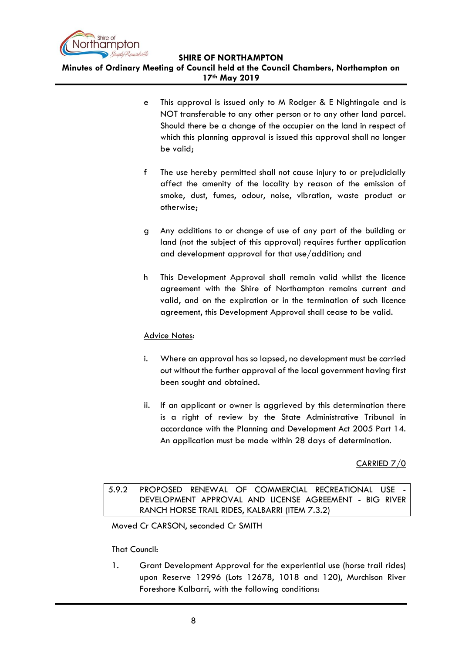

**Minutes of Ordinary Meeting of Council held at the Council Chambers, Northampton on 17th May 2019**

- e This approval is issued only to M Rodger & E Nightingale and is NOT transferable to any other person or to any other land parcel. Should there be a change of the occupier on the land in respect of which this planning approval is issued this approval shall no longer be valid;
- f The use hereby permitted shall not cause injury to or prejudicially affect the amenity of the locality by reason of the emission of smoke, dust, fumes, odour, noise, vibration, waste product or otherwise;
- g Any additions to or change of use of any part of the building or land (not the subject of this approval) requires further application and development approval for that use/addition; and
- h This Development Approval shall remain valid whilst the licence agreement with the Shire of Northampton remains current and valid, and on the expiration or in the termination of such licence agreement, this Development Approval shall cease to be valid.

## Advice Notes:

- i. Where an approval has so lapsed, no development must be carried out without the further approval of the local government having first been sought and obtained.
- ii. If an applicant or owner is aggrieved by this determination there is a right of review by the State Administrative Tribunal in accordance with the Planning and Development Act 2005 Part 14. An application must be made within 28 days of determination.

CARRIED 7/0

<span id="page-7-0"></span>5.9.2 PROPOSED RENEWAL OF COMMERCIAL RECREATIONAL USE DEVELOPMENT APPROVAL AND LICENSE AGREEMENT - BIG RIVER RANCH HORSE TRAIL RIDES, KALBARRI (ITEM 7.3.2)

Moved Cr CARSON, seconded Cr SMITH

That Council:

1. Grant Development Approval for the experiential use (horse trail rides) upon Reserve 12996 (Lots 12678, 1018 and 120), Murchison River Foreshore Kalbarri, with the following conditions: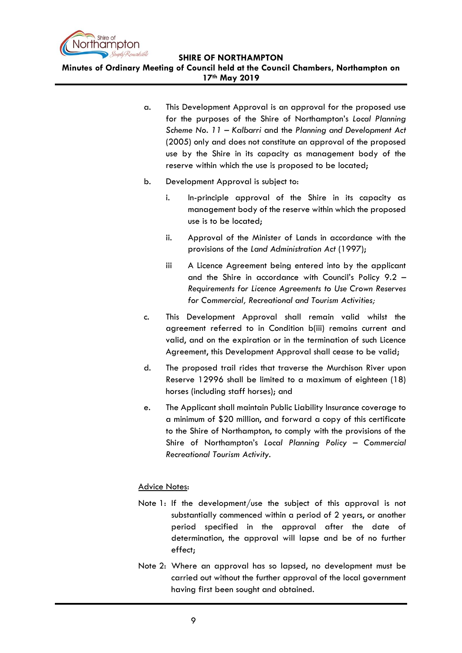

**Minutes of Ordinary Meeting of Council held at the Council Chambers, Northampton on 17th May 2019**

- a. This Development Approval is an approval for the proposed use for the purposes of the Shire of Northampton's *Local Planning Scheme No. 11 – Kalbarri* and the *Planning and Development Act*  (2005) only and does not constitute an approval of the proposed use by the Shire in its capacity as management body of the reserve within which the use is proposed to be located;
- b. Development Approval is subject to:
	- i. In-principle approval of the Shire in its capacity as management body of the reserve within which the proposed use is to be located;
	- ii. Approval of the Minister of Lands in accordance with the provisions of the *Land Administration Act* (1997);
	- iii A Licence Agreement being entered into by the applicant and the Shire in accordance with Council's Policy 9.2 – *Requirements for Licence Agreements to Use Crown Reserves for Commercial, Recreational and Tourism Activities;*
- c. This Development Approval shall remain valid whilst the agreement referred to in Condition b(iii) remains current and valid, and on the expiration or in the termination of such Licence Agreement, this Development Approval shall cease to be valid;
- d. The proposed trail rides that traverse the Murchison River upon Reserve 12996 shall be limited to a maximum of eighteen (18) horses (including staff horses); and
- e. The Applicant shall maintain Public Liability Insurance coverage to a minimum of \$20 million, and forward a copy of this certificate to the Shire of Northampton, to comply with the provisions of the Shire of Northampton's *Local Planning Policy – Commercial Recreational Tourism Activity.*

## Advice Notes:

- Note 1: If the development/use the subject of this approval is not substantially commenced within a period of 2 years, or another period specified in the approval after the date of determination, the approval will lapse and be of no further effect;
- Note 2: Where an approval has so lapsed, no development must be carried out without the further approval of the local government having first been sought and obtained.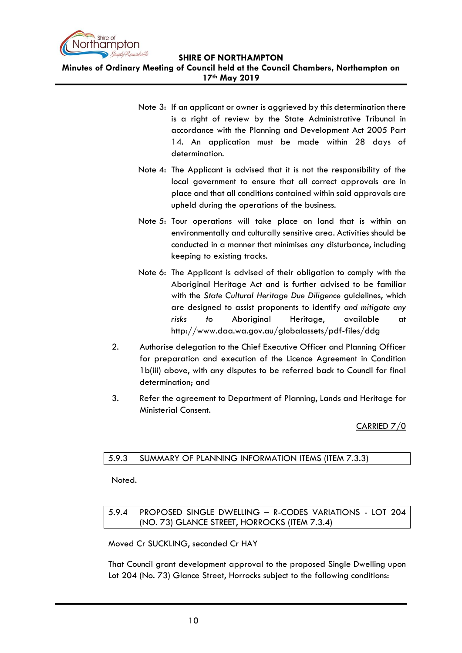

**Minutes of Ordinary Meeting of Council held at the Council Chambers, Northampton on 17th May 2019**

- Note 3: If an applicant or owner is aggrieved by this determination there is a right of review by the State Administrative Tribunal in accordance with the Planning and Development Act 2005 Part 14. An application must be made within 28 days of determination.
- Note 4: The Applicant is advised that it is not the responsibility of the local government to ensure that all correct approvals are in place and that all conditions contained within said approvals are upheld during the operations of the business.
- Note 5: Tour operations will take place on land that is within an environmentally and culturally sensitive area. Activities should be conducted in a manner that minimises any disturbance, including keeping to existing tracks.
- Note 6: The Applicant is advised of their obligation to comply with the Aboriginal Heritage Act and is further advised to be familiar with the *State Cultural Heritage Due Diligence* guidelines, which are designed to assist proponents to identify *and mitigate any risks to* Aboriginal Heritage, available at http://www.daa.wa.gov.au/globalassets/pdf-files/ddg
- 2. Authorise delegation to the Chief Executive Officer and Planning Officer for preparation and execution of the Licence Agreement in Condition 1b(iii) above, with any disputes to be referred back to Council for final determination; and
- 3. Refer the agreement to Department of Planning, Lands and Heritage for Ministerial Consent.

## CARRIED 7/0

## <span id="page-9-0"></span>5.9.3 SUMMARY OF PLANNING INFORMATION ITEMS (ITEM 7.3.3)

Noted.

## <span id="page-9-1"></span>5.9.4 PROPOSED SINGLE DWELLING – R-CODES VARIATIONS - LOT 204 (NO. 73) GLANCE STREET, HORROCKS (ITEM 7.3.4)

Moved Cr SUCKLING, seconded Cr HAY

That Council grant development approval to the proposed Single Dwelling upon Lot 204 (No. 73) Glance Street, Horrocks subject to the following conditions: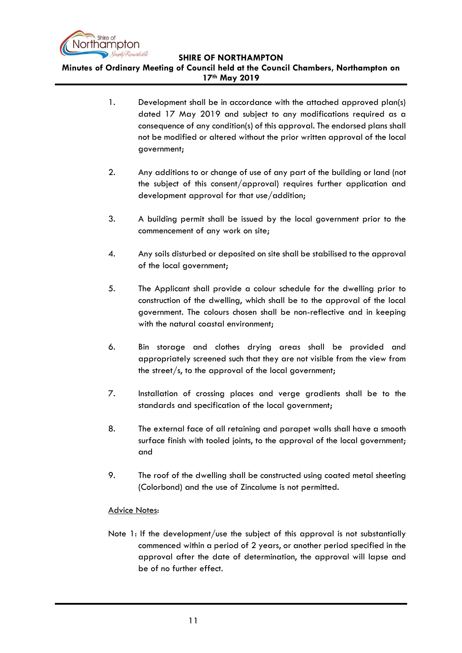

**Minutes of Ordinary Meeting of Council held at the Council Chambers, Northampton on 17th May 2019**

- 1. Development shall be in accordance with the attached approved plan(s) dated 17 May 2019 and subject to any modifications required as a consequence of any condition(s) of this approval. The endorsed plans shall not be modified or altered without the prior written approval of the local government;
- 2. Any additions to or change of use of any part of the building or land (not the subject of this consent/approval) requires further application and development approval for that use/addition;
- 3. A building permit shall be issued by the local government prior to the commencement of any work on site;
- 4. Any soils disturbed or deposited on site shall be stabilised to the approval of the local government;
- 5. The Applicant shall provide a colour schedule for the dwelling prior to construction of the dwelling, which shall be to the approval of the local government. The colours chosen shall be non-reflective and in keeping with the natural coastal environment;
- 6. Bin storage and clothes drying areas shall be provided and appropriately screened such that they are not visible from the view from the street/s, to the approval of the local government;
- 7. Installation of crossing places and verge gradients shall be to the standards and specification of the local government;
- 8. The external face of all retaining and parapet walls shall have a smooth surface finish with tooled joints, to the approval of the local government; and
- 9. The roof of the dwelling shall be constructed using coated metal sheeting (Colorbond) and the use of Zincalume is not permitted.

## Advice Notes:

Note 1: If the development/use the subject of this approval is not substantially commenced within a period of 2 years, or another period specified in the approval after the date of determination, the approval will lapse and be of no further effect.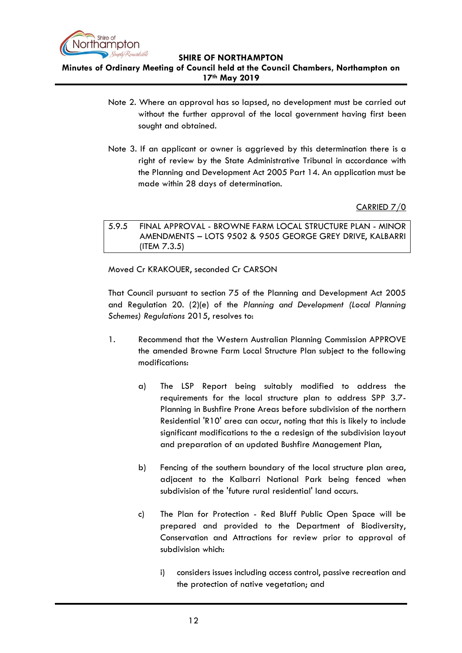

**Minutes of Ordinary Meeting of Council held at the Council Chambers, Northampton on 17th May 2019**

- Note 2. Where an approval has so lapsed, no development must be carried out without the further approval of the local government having first been sought and obtained.
- Note 3. If an applicant or owner is aggrieved by this determination there is a right of review by the State Administrative Tribunal in accordance with the Planning and Development Act 2005 Part 14. An application must be made within 28 days of determination.

CARRIED 7/0

<span id="page-11-0"></span>5.9.5 FINAL APPROVAL - BROWNE FARM LOCAL STRUCTURE PLAN - MINOR AMENDMENTS – LOTS 9502 & 9505 GEORGE GREY DRIVE, KALBARRI (ITEM 7.3.5)

Moved Cr KRAKOUER, seconded Cr CARSON

That Council pursuant to section 75 of the Planning and Development Act 2005 and Regulation 20. (2)(e) of the *Planning and Development (Local Planning Schemes) Regulations* 2015, resolves to:

- 1. Recommend that the Western Australian Planning Commission APPROVE the amended Browne Farm Local Structure Plan subject to the following modifications:
	- a) The LSP Report being suitably modified to address the requirements for the local structure plan to address SPP 3.7- Planning in Bushfire Prone Areas before subdivision of the northern Residential 'R10' area can occur, noting that this is likely to include significant modifications to the a redesign of the subdivision layout and preparation of an updated Bushfire Management Plan,
	- b) Fencing of the southern boundary of the local structure plan area, adjacent to the Kalbarri National Park being fenced when subdivision of the 'future rural residential' land occurs.
	- c) The Plan for Protection Red Bluff Public Open Space will be prepared and provided to the Department of Biodiversity, Conservation and Attractions for review prior to approval of subdivision which:
		- i) considers issues including access control, passive recreation and the protection of native vegetation; and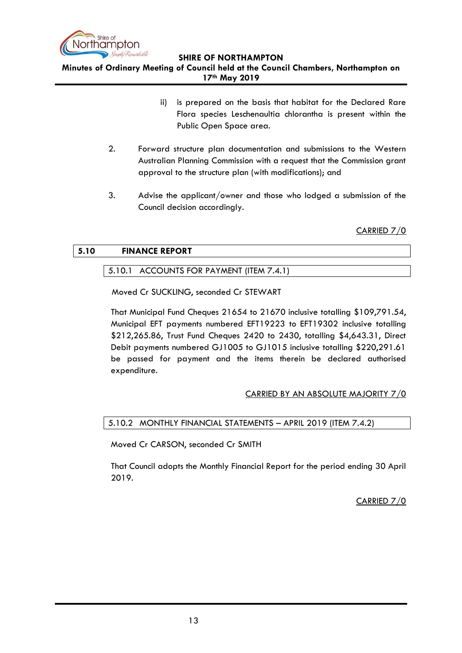

**Minutes of Ordinary Meeting of Council held at the Council Chambers, Northampton on 17th May 2019**

- ii) is prepared on the basis that habitat for the Declared Rare Flora species Leschenaultia chlorantha is present within the Public Open Space area.
- 2. Forward structure plan documentation and submissions to the Western Australian Planning Commission with a request that the Commission grant approval to the structure plan (with modifications); and
- 3. Advise the applicant/owner and those who lodged a submission of the Council decision accordingly.

CARRIED 7/0

## <span id="page-12-1"></span><span id="page-12-0"></span>**5.10 FINANCE REPORT**

## 5.10.1 ACCOUNTS FOR PAYMENT (ITEM 7.4.1)

Moved Cr SUCKLING, seconded Cr STEWART

That Municipal Fund Cheques 21654 to 21670 inclusive totalling \$109,791.54, Municipal EFT payments numbered EFT19223 to EFT19302 inclusive totalling \$212,265.86, Trust Fund Cheques 2420 to 2430, totalling \$4,643.31, Direct Debit payments numbered GJ1005 to GJ1015 inclusive totalling \$220,291.61 be passed for payment and the items therein be declared authorised expenditure.

## CARRIED BY AN ABSOLUTE MAJORITY 7/0

## <span id="page-12-2"></span>5.10.2 MONTHLY FINANCIAL STATEMENTS – APRIL 2019 (ITEM 7.4.2)

Moved Cr CARSON, seconded Cr SMITH

That Council adopts the Monthly Financial Report for the period ending 30 April 2019.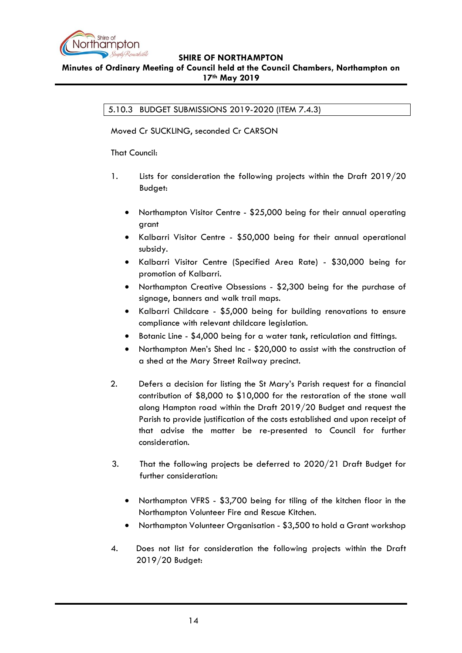

## <span id="page-13-0"></span>**Minutes of Ordinary Meeting of Council held at the Council Chambers, Northampton on 17th May 2019**

5.10.3 BUDGET SUBMISSIONS 2019-2020 (ITEM 7.4.3)

Moved Cr SUCKLING, seconded Cr CARSON

That Council:

- 1. Lists for consideration the following projects within the Draft 2019/20 Budget:
	- Northampton Visitor Centre \$25,000 being for their annual operating grant
	- Kalbarri Visitor Centre \$50,000 being for their annual operational subsidy.
	- Kalbarri Visitor Centre (Specified Area Rate) \$30,000 being for promotion of Kalbarri.
	- Northampton Creative Obsessions \$2,300 being for the purchase of signage, banners and walk trail maps.
	- Kalbarri Childcare \$5,000 being for building renovations to ensure compliance with relevant childcare legislation.
	- Botanic Line \$4,000 being for a water tank, reticulation and fittings.
	- Northampton Men's Shed Inc \$20,000 to assist with the construction of a shed at the Mary Street Railway precinct.
- 2. Defers a decision for listing the St Mary's Parish request for a financial contribution of \$8,000 to \$10,000 for the restoration of the stone wall along Hampton road within the Draft 2019/20 Budget and request the Parish to provide justification of the costs established and upon receipt of that advise the matter be re-presented to Council for further consideration.
- 3. That the following projects be deferred to 2020/21 Draft Budget for further consideration:
	- Northampton VFRS \$3,700 being for tiling of the kitchen floor in the Northampton Volunteer Fire and Rescue Kitchen.
	- Northampton Volunteer Organisation \$3,500 to hold a Grant workshop
- 4. Does not list for consideration the following projects within the Draft 2019/20 Budget: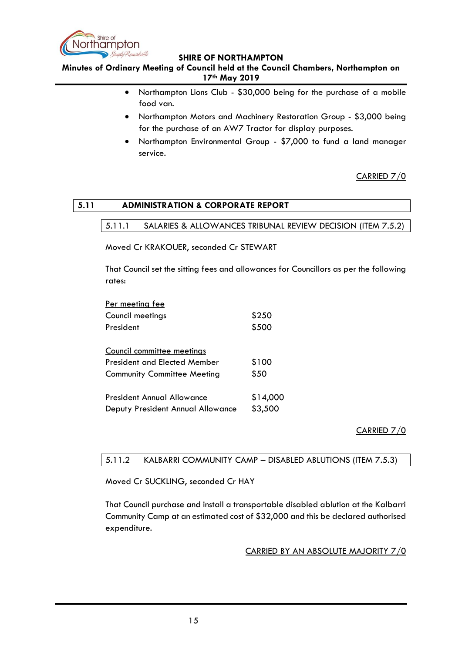

**Minutes of Ordinary Meeting of Council held at the Council Chambers, Northampton on 17th May 2019**

- Northampton Lions Club \$30,000 being for the purchase of a mobile food van.
- Northampton Motors and Machinery Restoration Group \$3,000 being for the purchase of an AW7 Tractor for display purposes.
- Northampton Environmental Group \$7,000 to fund a land manager service.

CARRIED 7/0

## <span id="page-14-1"></span><span id="page-14-0"></span>**5.11 ADMINISTRATION & CORPORATE REPORT**

### 5.11.1 SALARIES & ALLOWANCES TRIBUNAL REVIEW DECISION (ITEM 7.5.2)

Moved Cr KRAKOUER, seconded Cr STEWART

That Council set the sitting fees and allowances for Councillors as per the following rates:

| <u>Per meeting fee</u>              |          |
|-------------------------------------|----------|
| Council meetings                    | \$250    |
| President                           | \$500    |
| <u>Council committee meetings</u>   |          |
| <b>President and Elected Member</b> | \$100    |
| <b>Community Committee Meeting</b>  | \$50     |
| <b>President Annual Allowance</b>   | \$14,000 |
| Deputy President Annual Allowance   | \$3,500  |

CARRIED 7/0

## <span id="page-14-2"></span>5.11.2 KALBARRI COMMUNITY CAMP – DISABLED ABLUTIONS (ITEM 7.5.3)

Moved Cr SUCKLING, seconded Cr HAY

That Council purchase and install a transportable disabled ablution at the Kalbarri Community Camp at an estimated cost of \$32,000 and this be declared authorised expenditure.

CARRIED BY AN ABSOLUTE MAJORITY 7/0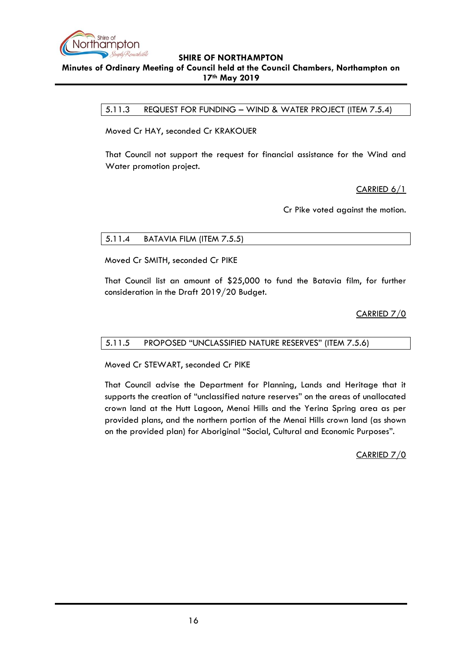

### <span id="page-15-0"></span>**SHIRE OF NORTHAMPTON Minutes of Ordinary Meeting of Council held at the Council Chambers, Northampton on 17th May 2019**

5.11.3 REQUEST FOR FUNDING – WIND & WATER PROJECT (ITEM 7.5.4)

Moved Cr HAY, seconded Cr KRAKOUER

That Council not support the request for financial assistance for the Wind and Water promotion project.

CARRIED 6/1

Cr Pike voted against the motion.

## <span id="page-15-1"></span>5.11.4 BATAVIA FILM (ITEM 7.5.5)

Moved Cr SMITH, seconded Cr PIKE

That Council list an amount of \$25,000 to fund the Batavia film, for further consideration in the Draft 2019/20 Budget.

CARRIED 7/0

## <span id="page-15-2"></span>5.11.5 PROPOSED "UNCLASSIFIED NATURE RESERVES" (ITEM 7.5.6)

Moved Cr STEWART, seconded Cr PIKE

That Council advise the Department for Planning, Lands and Heritage that it supports the creation of "unclassified nature reserves" on the areas of unallocated crown land at the Hutt Lagoon, Menai Hills and the Yerina Spring area as per provided plans, and the northern portion of the Menai Hills crown land (as shown on the provided plan) for Aboriginal "Social, Cultural and Economic Purposes".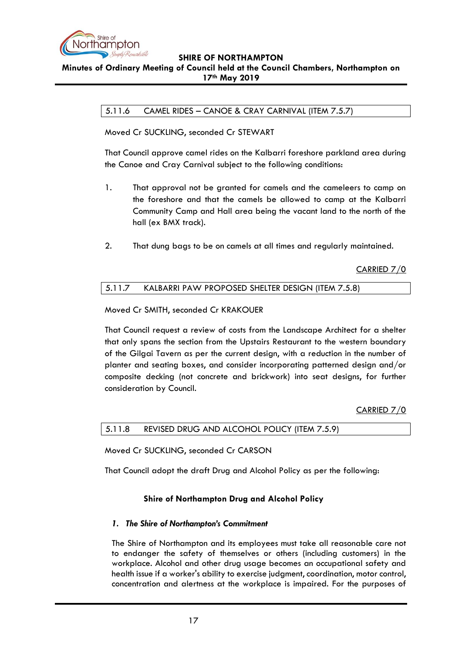

## <span id="page-16-0"></span>**Minutes of Ordinary Meeting of Council held at the Council Chambers, Northampton on 17th May 2019**

## 5.11.6 CAMEL RIDES – CANOE & CRAY CARNIVAL (ITEM 7.5.7)

Moved Cr SUCKLING, seconded Cr STEWART

That Council approve camel rides on the Kalbarri foreshore parkland area during the Canoe and Cray Carnival subject to the following conditions:

- 1. That approval not be granted for camels and the cameleers to camp on the foreshore and that the camels be allowed to camp at the Kalbarri Community Camp and Hall area being the vacant land to the north of the hall (ex BMX track).
- 2. That dung bags to be on camels at all times and regularly maintained.

CARRIED 7/0

## <span id="page-16-1"></span>5.11.7 KALBARRI PAW PROPOSED SHELTER DESIGN (ITEM 7.5.8)

Moved Cr SMITH, seconded Cr KRAKOUER

That Council request a review of costs from the Landscape Architect for a shelter that only spans the section from the Upstairs Restaurant to the western boundary of the Gilgai Tavern as per the current design, with a reduction in the number of planter and seating boxes, and consider incorporating patterned design and/or composite decking (not concrete and brickwork) into seat designs, for further consideration by Council.

CARRIED 7/0

<span id="page-16-2"></span>

| 5.11.8 REVISED DRUG AND ALCOHOL POLICY (ITEM 7.5.9) |  |
|-----------------------------------------------------|--|
|                                                     |  |

Moved Cr SUCKLING, seconded Cr CARSON

That Council adopt the draft Drug and Alcohol Policy as per the following:

## **Shire of Northampton Drug and Alcohol Policy**

## *1. The Shire of Northampton's Commitment*

The Shire of Northampton and its employees must take all reasonable care not to endanger the safety of themselves or others (including customers) in the workplace. Alcohol and other drug usage becomes an occupational safety and health issue if a worker's ability to exercise judgment, coordination, motor control, concentration and alertness at the workplace is impaired. For the purposes of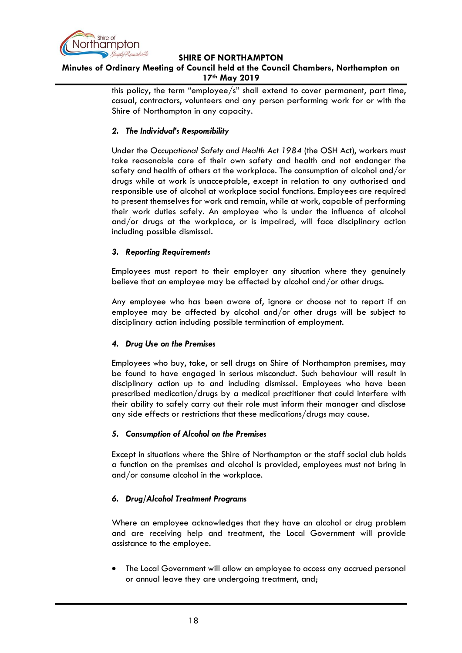

## **Minutes of Ordinary Meeting of Council held at the Council Chambers, Northampton on 17th May 2019**

this policy, the term "employee/s" shall extend to cover permanent, part time, casual, contractors, volunteers and any person performing work for or with the Shire of Northampton in any capacity.

### *2. The Individual's Responsibility*

Under the *Occupational Safety and Health Act 1984* (the OSH Act), workers must take reasonable care of their own safety and health and not endanger the safety and health of others at the workplace. The consumption of alcohol and/or drugs while at work is unacceptable, except in relation to any authorised and responsible use of alcohol at workplace social functions. Employees are required to present themselves for work and remain, while at work, capable of performing their work duties safely. An employee who is under the influence of alcohol and/or drugs at the workplace, or is impaired, will face disciplinary action including possible dismissal.

### *3. Reporting Requirements*

Employees must report to their employer any situation where they genuinely believe that an employee may be affected by alcohol and/or other drugs.

Any employee who has been aware of, ignore or choose not to report if an employee may be affected by alcohol and/or other drugs will be subject to disciplinary action including possible termination of employment.

## *4. Drug Use on the Premises*

Employees who buy, take, or sell drugs on Shire of Northampton premises, may be found to have engaged in serious misconduct. Such behaviour will result in disciplinary action up to and including dismissal. Employees who have been prescribed medication/drugs by a medical practitioner that could interfere with their ability to safely carry out their role must inform their manager and disclose any side effects or restrictions that these medications/drugs may cause.

## *5. Consumption of Alcohol on the Premises*

Except in situations where the Shire of Northampton or the staff social club holds a function on the premises and alcohol is provided, employees must not bring in and/or consume alcohol in the workplace.

## *6. Drug/Alcohol Treatment Programs*

Where an employee acknowledges that they have an alcohol or drug problem and are receiving help and treatment, the Local Government will provide assistance to the employee.

• The Local Government will allow an employee to access any accrued personal or annual leave they are undergoing treatment, and;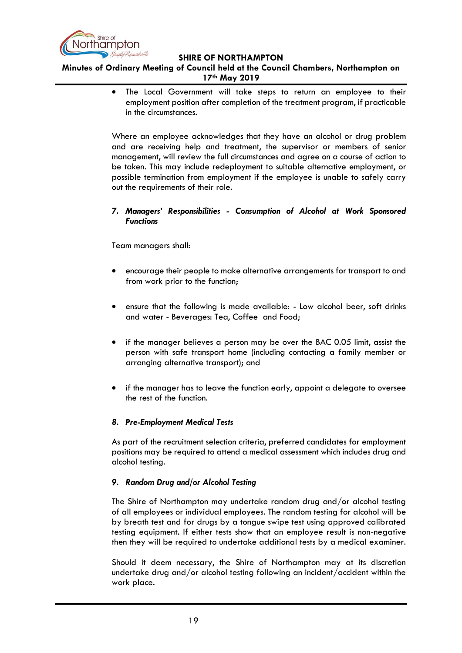

**Minutes of Ordinary Meeting of Council held at the Council Chambers, Northampton on 17th May 2019**

> • The Local Government will take steps to return an employee to their employment position after completion of the treatment program, if practicable in the circumstances.

> Where an employee acknowledges that they have an alcohol or drug problem and are receiving help and treatment, the supervisor or members of senior management, will review the full circumstances and agree on a course of action to be taken. This may include redeployment to suitable alternative employment, or possible termination from employment if the employee is unable to safely carry out the requirements of their role.

### *7. Managers' Responsibilities - Consumption of Alcohol at Work Sponsored Functions*

Team managers shall:

- encourage their people to make alternative arrangements for transport to and from work prior to the function;
- ensure that the following is made available: Low alcohol beer, soft drinks and water - Beverages: Tea, Coffee and Food;
- if the manager believes a person may be over the BAC 0.05 limit, assist the person with safe transport home (including contacting a family member or arranging alternative transport); and
- if the manager has to leave the function early, appoint a delegate to oversee the rest of the function.

## *8. Pre-Employment Medical Tests*

As part of the recruitment selection criteria, preferred candidates for employment positions may be required to attend a medical assessment which includes drug and alcohol testing.

## *9. Random Drug and/or Alcohol Testing*

The Shire of Northampton may undertake random drug and/or alcohol testing of all employees or individual employees. The random testing for alcohol will be by breath test and for drugs by a tongue swipe test using approved calibrated testing equipment. If either tests show that an employee result is non-negative then they will be required to undertake additional tests by a medical examiner.

Should it deem necessary, the Shire of Northampton may at its discretion undertake drug and/or alcohol testing following an incident/accident within the work place.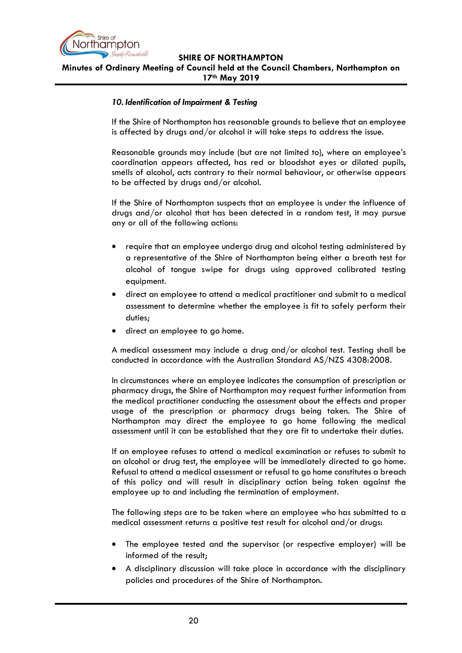

**Minutes of Ordinary Meeting of Council held at the Council Chambers, Northampton on 17th May 2019**

#### *10. Identification of Impairment & Testing*

If the Shire of Northampton has reasonable grounds to believe that an employee is affected by drugs and/or alcohol it will take steps to address the issue.

Reasonable grounds may include (but are not limited to), where an employee's coordination appears affected, has red or bloodshot eyes or dilated pupils, smells of alcohol, acts contrary to their normal behaviour, or otherwise appears to be affected by drugs and/or alcohol.

If the Shire of Northampton suspects that an employee is under the influence of drugs and/or alcohol that has been detected in a random test, it may pursue any or all of the following actions:

- require that an employee undergo drug and alcohol testing administered by a representative of the Shire of Northampton being either a breath test for alcohol of tongue swipe for drugs using approved calibrated testing equipment.
- direct an employee to attend a medical practitioner and submit to a medical assessment to determine whether the employee is fit to safely perform their duties;
- direct an employee to go home.

A medical assessment may include a drug and/or alcohol test. Testing shall be conducted in accordance with the Australian Standard AS/NZS 4308:2008.

In circumstances where an employee indicates the consumption of prescription or pharmacy drugs, the Shire of Northampton may request further information from the medical practitioner conducting the assessment about the effects and proper usage of the prescription or pharmacy drugs being taken. The Shire of Northampton may direct the employee to go home following the medical assessment until it can be established that they are fit to undertake their duties.

If an employee refuses to attend a medical examination or refuses to submit to an alcohol or drug test, the employee will be immediately directed to go home. Refusal to attend a medical assessment or refusal to go home constitutes a breach of this policy and will result in disciplinary action being taken against the employee up to and including the termination of employment.

The following steps are to be taken where an employee who has submitted to a medical assessment returns a positive test result for alcohol and/or drugs:

- The employee tested and the supervisor (or respective employer) will be informed of the result;
- A disciplinary discussion will take place in accordance with the disciplinary policies and procedures of the Shire of Northampton*.*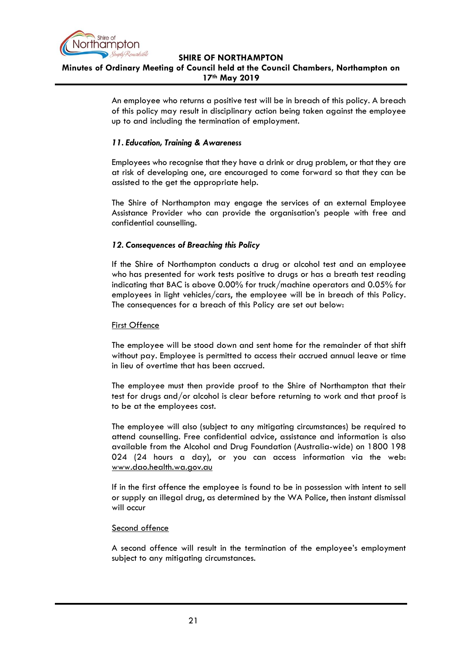

## **SHIRE OF NORTHAMPTON Minutes of Ordinary Meeting of Council held at the Council Chambers, Northampton on 17th May 2019**

An employee who returns a positive test will be in breach of this policy. A breach of this policy may result in disciplinary action being taken against the employee up to and including the termination of employment.

### *11. Education, Training & Awareness*

Employees who recognise that they have a drink or drug problem, or that they are at risk of developing one, are encouraged to come forward so that they can be assisted to the get the appropriate help.

The Shire of Northampton may engage the services of an external Employee Assistance Provider who can provide the organisation's people with free and confidential counselling.

## *12. Consequences of Breaching this Policy*

If the Shire of Northampton conducts a drug or alcohol test and an employee who has presented for work tests positive to drugs or has a breath test reading indicating that BAC is above 0.00% for truck/machine operators and 0.05% for employees in light vehicles/cars, the employee will be in breach of this Policy. The consequences for a breach of this Policy are set out below:

#### First Offence

The employee will be stood down and sent home for the remainder of that shift without pay. Employee is permitted to access their accrued annual leave or time in lieu of overtime that has been accrued.

The employee must then provide proof to the Shire of Northampton that their test for drugs and/or alcohol is clear before returning to work and that proof is to be at the employees cost.

The employee will also (subject to any mitigating circumstances) be required to attend counselling. Free confidential advice, assistance and information is also available from the Alcohol and Drug Foundation (Australia-wide) on 1800 198 024 (24 hours a day), or you can access information via the web: [www.dao.health.wa.gov.au](http://www.dao.health.wa.gov.au/)

If in the first offence the employee is found to be in possession with intent to sell or supply an illegal drug, as determined by the WA Police, then instant dismissal will occur

#### Second offence

A second offence will result in the termination of the employee's employment subject to any mitigating circumstances.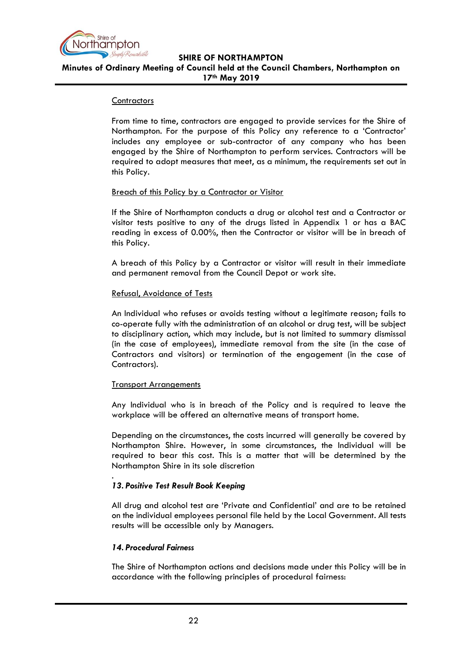

**SHIRE OF NORTHAMPTON Minutes of Ordinary Meeting of Council held at the Council Chambers, Northampton on 17th May 2019**

#### **Contractors**

From time to time, contractors are engaged to provide services for the Shire of Northampton. For the purpose of this Policy any reference to a 'Contractor' includes any employee or sub-contractor of any company who has been engaged by the Shire of Northampton to perform services. Contractors will be required to adopt measures that meet, as a minimum, the requirements set out in this Policy.

#### Breach of this Policy by a Contractor or Visitor

If the Shire of Northampton conducts a drug or alcohol test and a Contractor or visitor tests positive to any of the drugs listed in Appendix 1 or has a BAC reading in excess of 0.00%, then the Contractor or visitor will be in breach of this Policy.

A breach of this Policy by a Contractor or visitor will result in their immediate and permanent removal from the Council Depot or work site.

### Refusal, Avoidance of Tests

An Individual who refuses or avoids testing without a legitimate reason; fails to co-operate fully with the administration of an alcohol or drug test, will be subject to disciplinary action, which may include, but is not limited to summary dismissal (in the case of employees), immediate removal from the site (in the case of Contractors and visitors) or termination of the engagement (in the case of Contractors).

#### Transport Arrangements

Any Individual who is in breach of the Policy and is required to leave the workplace will be offered an alternative means of transport home.

Depending on the circumstances, the costs incurred will generally be covered by Northampton Shire. However, in some circumstances, the Individual will be required to bear this cost. This is a matter that will be determined by the Northampton Shire in its sole discretion

## *13. Positive Test Result Book Keeping*

All drug and alcohol test are 'Private and Confidential' and are to be retained on the individual employees personal file held by the Local Government. All tests results will be accessible only by Managers.

#### *14. Procedural Fairness*

.

The Shire of Northampton actions and decisions made under this Policy will be in accordance with the following principles of procedural fairness: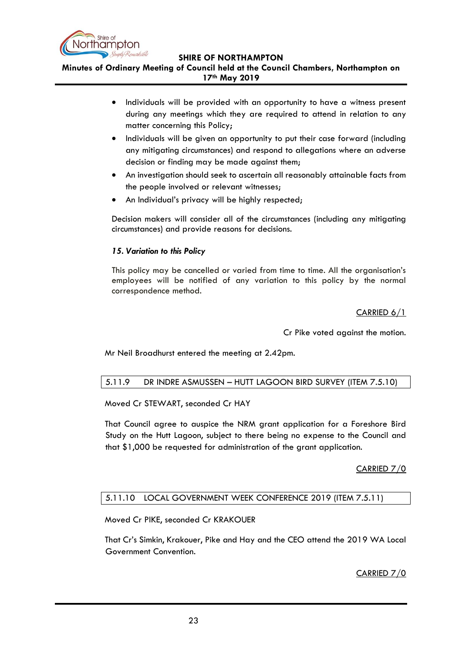

**Minutes of Ordinary Meeting of Council held at the Council Chambers, Northampton on 17th May 2019**

- Individuals will be provided with an opportunity to have a witness present during any meetings which they are required to attend in relation to any matter concerning this Policy;
- Individuals will be given an opportunity to put their case forward (including any mitigating circumstances) and respond to allegations where an adverse decision or finding may be made against them;
- An investigation should seek to ascertain all reasonably attainable facts from the people involved or relevant witnesses;
- An Individual's privacy will be highly respected;

Decision makers will consider all of the circumstances (including any mitigating circumstances) and provide reasons for decisions.

## *15. Variation to this Policy*

This policy may be cancelled or varied from time to time. All the organisation's employees will be notified of any variation to this policy by the normal correspondence method.

## CARRIED 6/1

Cr Pike voted against the motion.

Mr Neil Broadhurst entered the meeting at 2.42pm.

## <span id="page-22-0"></span>5.11.9 DR INDRE ASMUSSEN – HUTT LAGOON BIRD SURVEY (ITEM 7.5.10)

Moved Cr STEWART, seconded Cr HAY

That Council agree to auspice the NRM grant application for a Foreshore Bird Study on the Hutt Lagoon, subject to there being no expense to the Council and that \$1,000 be requested for administration of the grant application.

## CARRIED 7/0

## <span id="page-22-1"></span>5.11.10 LOCAL GOVERNMENT WEEK CONFERENCE 2019 (ITEM 7.5.11)

Moved Cr PIKE, seconded Cr KRAKOUER

That Cr's Simkin, Krakouer, Pike and Hay and the CEO attend the 2019 WA Local Government Convention.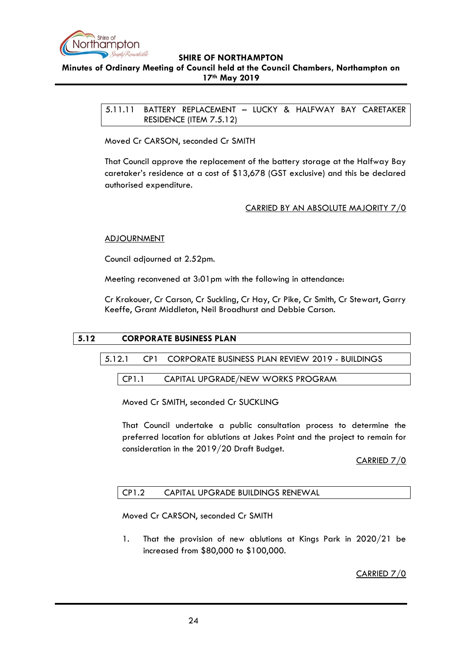

<span id="page-23-0"></span>**Minutes of Ordinary Meeting of Council held at the Council Chambers, Northampton on 17th May 2019**

> 5.11.11 BATTERY REPLACEMENT – LUCKY & HALFWAY BAY CARETAKER RESIDENCE (ITEM 7.5.12)

Moved Cr CARSON, seconded Cr SMITH

That Council approve the replacement of the battery storage at the Halfway Bay caretaker's residence at a cost of \$13,678 (GST exclusive) and this be declared authorised expenditure.

## CARRIED BY AN ABSOLUTE MAJORITY 7/0

### **ADJOURNMENT**

Council adjourned at 2.52pm.

Meeting reconvened at 3:01pm with the following in attendance:

Cr Krakouer, Cr Carson, Cr Suckling, Cr Hay, Cr Pike, Cr Smith, Cr Stewart, Garry Keeffe, Grant Middleton, Neil Broadhurst and Debbie Carson.

## <span id="page-23-3"></span><span id="page-23-2"></span><span id="page-23-1"></span>**5.12 CORPORATE BUSINESS PLAN**

5.12.1 CP1 CORPORATE BUSINESS PLAN REVIEW 2019 - BUILDINGS

CP1.1 CAPITAL UPGRADE/NEW WORKS PROGRAM

Moved Cr SMITH, seconded Cr SUCKLING

That Council undertake a public consultation process to determine the preferred location for ablutions at Jakes Point and the project to remain for consideration in the 2019/20 Draft Budget.

CARRIED 7/0

## <span id="page-23-4"></span>CP1.2 CAPITAL UPGRADE BUILDINGS RENEWAL

Moved Cr CARSON, seconded Cr SMITH

1. That the provision of new ablutions at Kings Park in 2020/21 be increased from \$80,000 to \$100,000.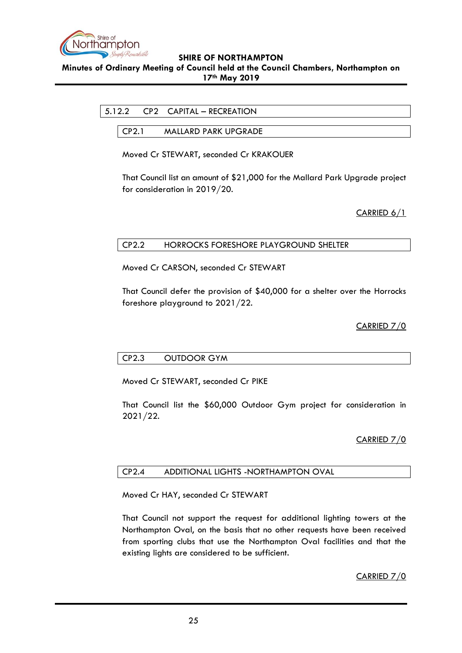

<span id="page-24-0"></span>**Minutes of Ordinary Meeting of Council held at the Council Chambers, Northampton on 17th May 2019**

<span id="page-24-1"></span>

CP2.1 MALLARD PARK UPGRADE

Moved Cr STEWART, seconded Cr KRAKOUER

That Council list an amount of \$21,000 for the Mallard Park Upgrade project for consideration in 2019/20.

CARRIED 6/1

## <span id="page-24-2"></span>CP2.2 HORROCKS FORESHORE PLAYGROUND SHELTER

Moved Cr CARSON, seconded Cr STEWART

That Council defer the provision of \$40,000 for a shelter over the Horrocks foreshore playground to 2021/22.

## CARRIED 7/0

## <span id="page-24-3"></span>CP2.3 OUTDOOR GYM

Moved Cr STEWART, seconded Cr PIKE

That Council list the \$60,000 Outdoor Gym project for consideration in 2021/22.

## CARRIED 7/0

#### <span id="page-24-4"></span>CP2.4 ADDITIONAL LIGHTS -NORTHAMPTON OVAL

Moved Cr HAY, seconded Cr STEWART

That Council not support the request for additional lighting towers at the Northampton Oval, on the basis that no other requests have been received from sporting clubs that use the Northampton Oval facilities and that the existing lights are considered to be sufficient.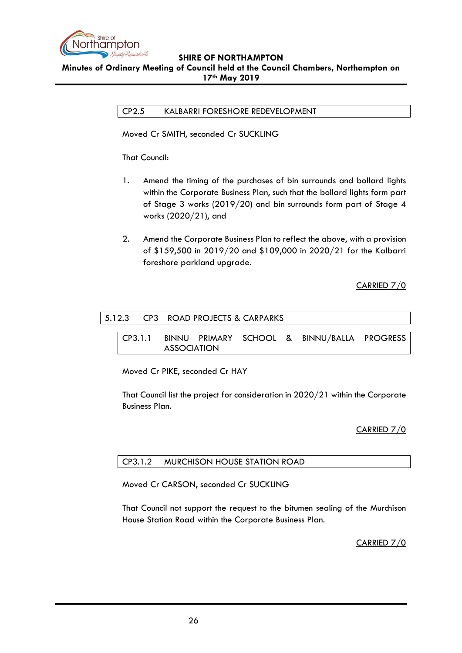

<span id="page-25-0"></span>**Minutes of Ordinary Meeting of Council held at the Council Chambers, Northampton on 17th May 2019**

CP2.5 KALBARRI FORESHORE REDEVELOPMENT

Moved Cr SMITH, seconded Cr SUCKLING

That Council:

- 1. Amend the timing of the purchases of bin surrounds and bollard lights within the Corporate Business Plan, such that the bollard lights form part of Stage 3 works (2019/20) and bin surrounds form part of Stage 4 works (2020/21), and
- 2. Amend the Corporate Business Plan to reflect the above, with a provision of \$159,500 in 2019/20 and \$109,000 in 2020/21 for the Kalbarri foreshore parkland upgrade.

CARRIED 7/0

<span id="page-25-2"></span><span id="page-25-1"></span>

|         | 5.12.3 CP3 ROAD PROJECTS & CARPARKS                               |  |  |
|---------|-------------------------------------------------------------------|--|--|
| CP3.1.1 | BINNU PRIMARY SCHOOL & BINNU/BALLA PROGRESS<br><b>ASSOCIATION</b> |  |  |

Moved Cr PIKE, seconded Cr HAY

That Council list the project for consideration in 2020/21 within the Corporate Business Plan.

CARRIED 7/0

## <span id="page-25-3"></span>CP3.1.2 MURCHISON HOUSE STATION ROAD

Moved Cr CARSON, seconded Cr SUCKLING

That Council not support the request to the bitumen sealing of the Murchison House Station Road within the Corporate Business Plan.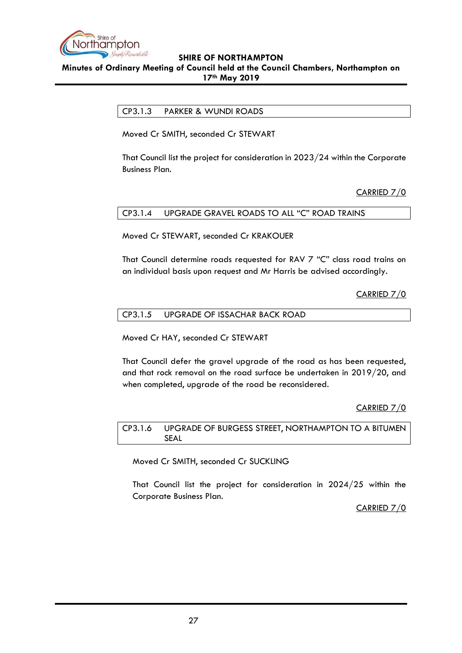

<span id="page-26-0"></span>**Minutes of Ordinary Meeting of Council held at the Council Chambers, Northampton on 17th May 2019**

CP3.1.3 PARKER & WUNDI ROADS

Moved Cr SMITH, seconded Cr STEWART

That Council list the project for consideration in 2023/24 within the Corporate Business Plan.

CARRIED 7/0

<span id="page-26-1"></span>CP3.1.4 UPGRADE GRAVEL ROADS TO ALL "C" ROAD TRAINS

Moved Cr STEWART, seconded Cr KRAKOUER

That Council determine roads requested for RAV 7 "C" class road trains on an individual basis upon request and Mr Harris be advised accordingly.

CARRIED 7/0

<span id="page-26-2"></span>

| CP3.1.5 | UPGRADE OF ISSACHAR BACK ROAD |
|---------|-------------------------------|
|         |                               |

Moved Cr HAY, seconded Cr STEWART

That Council defer the gravel upgrade of the road as has been requested, and that rock removal on the road surface be undertaken in 2019/20, and when completed, upgrade of the road be reconsidered.

CARRIED 7/0

<span id="page-26-3"></span>CP3.1.6 UPGRADE OF BURGESS STREET, NORTHAMPTON TO A BITUMEN SEAL

Moved Cr SMITH, seconded Cr SUCKLING

That Council list the project for consideration in 2024/25 within the Corporate Business Plan.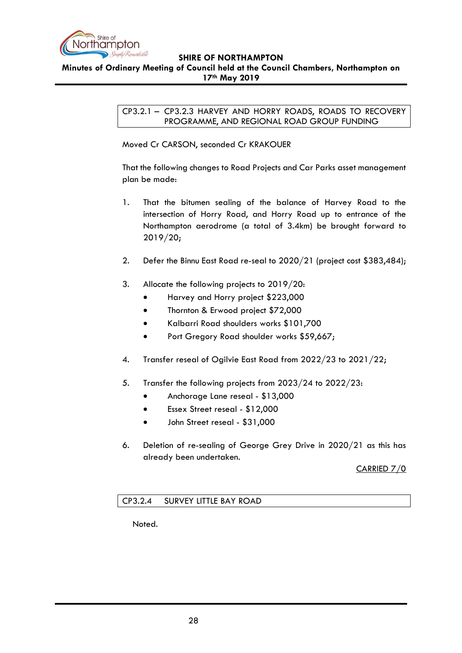

### <span id="page-27-0"></span>**Minutes of Ordinary Meeting of Council held at the Council Chambers, Northampton on 17th May 2019**

CP3.2.1 – CP3.2.3 HARVEY AND HORRY ROADS, ROADS TO RECOVERY PROGRAMME, AND REGIONAL ROAD GROUP FUNDING

Moved Cr CARSON, seconded Cr KRAKOUER

That the following changes to Road Projects and Car Parks asset management plan be made:

- 1. That the bitumen sealing of the balance of Harvey Road to the intersection of Horry Road, and Horry Road up to entrance of the Northampton aerodrome (a total of 3.4km) be brought forward to 2019/20;
- 2. Defer the Binnu East Road re-seal to 2020/21 (project cost \$383,484);
- 3. Allocate the following projects to 2019/20:
	- Harvey and Horry project \$223,000
	- Thornton & Erwood project \$72,000
	- Kalbarri Road shoulders works \$101,700
	- Port Gregory Road shoulder works \$59,667;
- 4. Transfer reseal of Ogilvie East Road from 2022/23 to 2021/22;
- 5. Transfer the following projects from 2023/24 to 2022/23:
	- Anchorage Lane reseal \$13,000
	- Essex Street reseal \$12,000
	- John Street reseal \$31,000
- 6. Deletion of re-sealing of George Grey Drive in 2020/21 as this has already been undertaken.

CARRIED 7/0

## <span id="page-27-1"></span>CP3.2.4 SURVEY LITTLE BAY ROAD

Noted.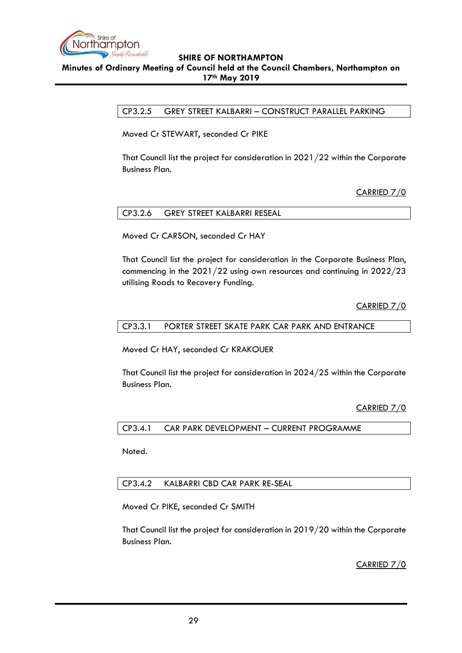

### <span id="page-28-0"></span>**Minutes of Ordinary Meeting of Council held at the Council Chambers, Northampton on 17th May 2019**

CP3.2.5 GREY STREET KALBARRI – CONSTRUCT PARALLEL PARKING

Moved Cr STEWART, seconded Cr PIKE

That Council list the project for consideration in 2021/22 within the Corporate Business Plan.

CARRIED 7/0

<span id="page-28-1"></span>

|--|

Moved Cr CARSON, seconded Cr HAY

That Council list the project for consideration in the Corporate Business Plan, commencing in the 2021/22 using own resources and continuing in 2022/23 utilising Roads to Recovery Funding.

CARRIED 7/0

#### <span id="page-28-2"></span>CP3.3.1 PORTER STREET SKATE PARK CAR PARK AND ENTRANCE

Moved Cr HAY, seconded Cr KRAKOUER

That Council list the project for consideration in 2024/25 within the Corporate Business Plan.

CARRIED 7/0

<span id="page-28-3"></span>CP3.4.1 CAR PARK DEVELOPMENT – CURRENT PROGRAMME

Noted.

## <span id="page-28-4"></span>CP3.4.2 KALBARRI CBD CAR PARK RE-SEAL

Moved Cr PIKE, seconded Cr SMITH

That Council list the project for consideration in 2019/20 within the Corporate Business Plan.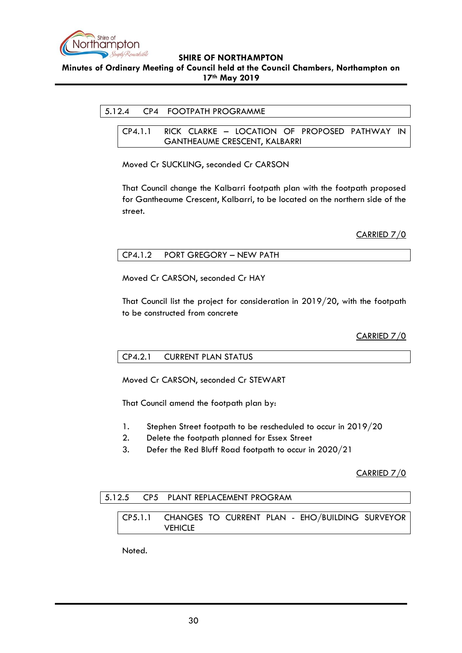

<span id="page-29-0"></span>**Minutes of Ordinary Meeting of Council held at the Council Chambers, Northampton on 17th May 2019**

### <span id="page-29-1"></span>5.12.4 CP4 FOOTPATH PROGRAMME

CP4.1.1 RICK CLARKE – LOCATION OF PROPOSED PATHWAY IN GANTHEAUME CRESCENT, KALBARRI

Moved Cr SUCKLING, seconded Cr CARSON

That Council change the Kalbarri footpath plan with the footpath proposed for Gantheaume Crescent, Kalbarri, to be located on the northern side of the street.

CARRIED 7/0

<span id="page-29-2"></span>

| CP4.1.2 PORT GREGORY - NEW PATH |
|---------------------------------|
|---------------------------------|

Moved Cr CARSON, seconded Cr HAY

That Council list the project for consideration in 2019/20, with the footpath to be constructed from concrete

CARRIED 7/0

#### <span id="page-29-3"></span>CP4.2.1 CURRENT PLAN STATUS

Moved Cr CARSON, seconded Cr STEWART

That Council amend the footpath plan by:

- 1. Stephen Street footpath to be rescheduled to occur in 2019/20
- 2. Delete the footpath planned for Essex Street
- 3. Defer the Red Bluff Road footpath to occur in 2020/21

CARRIED 7/0

#### <span id="page-29-5"></span><span id="page-29-4"></span>5.12.5 CP5 PLANT REPLACEMENT PROGRAM

CP5.1.1 CHANGES TO CURRENT PLAN - EHO/BUILDING SURVEYOR **VEHICLE** 

Noted.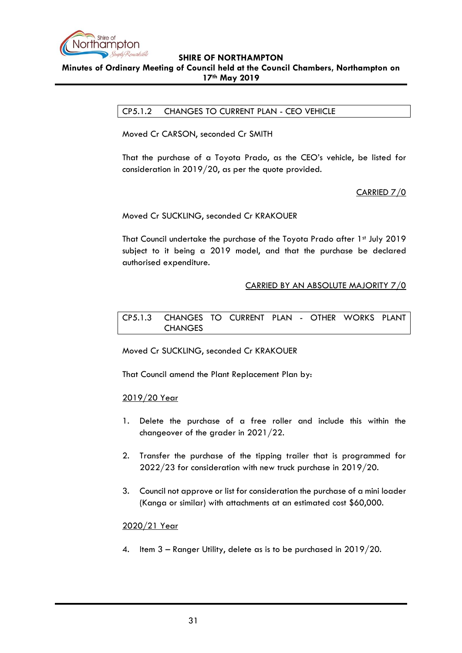

### <span id="page-30-0"></span>**Minutes of Ordinary Meeting of Council held at the Council Chambers, Northampton on 17th May 2019**

CP5.1.2 CHANGES TO CURRENT PLAN - CEO VEHICLE

Moved Cr CARSON, seconded Cr SMITH

That the purchase of a Toyota Prado, as the CEO's vehicle, be listed for consideration in 2019/20, as per the quote provided.

CARRIED 7/0

Moved Cr SUCKLING, seconded Cr KRAKOUER

That Council undertake the purchase of the Toyota Prado after 1st July 2019 subject to it being a 2019 model, and that the purchase be declared authorised expenditure.

## CARRIED BY AN ABSOLUTE MAJORITY 7/0

<span id="page-30-1"></span>CP5.1.3 CHANGES TO CURRENT PLAN - OTHER WORKS PLANT CHANGES

Moved Cr SUCKLING, seconded Cr KRAKOUER

That Council amend the Plant Replacement Plan by:

#### 2019/20 Year

- 1. Delete the purchase of a free roller and include this within the changeover of the grader in 2021/22.
- 2. Transfer the purchase of the tipping trailer that is programmed for 2022/23 for consideration with new truck purchase in 2019/20.
- 3. Council not approve or list for consideration the purchase of a mini loader (Kanga or similar) with attachments at an estimated cost \$60,000.

#### 2020/21 Year

4. Item 3 – Ranger Utility, delete as is to be purchased in 2019/20.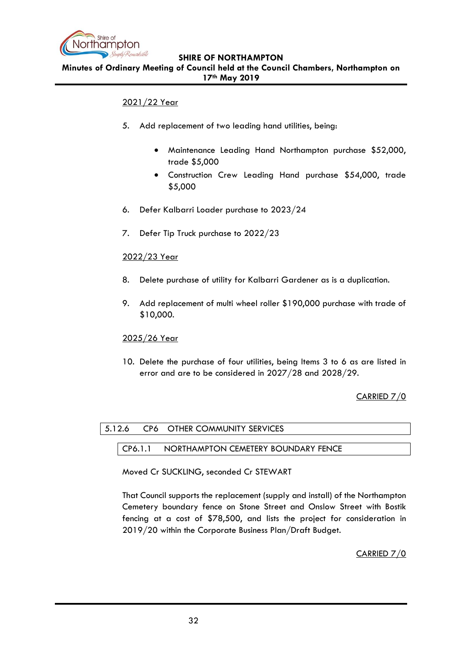

**Minutes of Ordinary Meeting of Council held at the Council Chambers, Northampton on 17th May 2019**

## 2021/22 Year

- 5. Add replacement of two leading hand utilities, being:
	- Maintenance Leading Hand Northampton purchase \$52,000, trade \$5,000
	- Construction Crew Leading Hand purchase \$54,000, trade \$5,000
- 6. Defer Kalbarri Loader purchase to 2023/24
- 7. Defer Tip Truck purchase to 2022/23

## 2022/23 Year

- 8. Delete purchase of utility for Kalbarri Gardener as is a duplication.
- 9. Add replacement of multi wheel roller \$190,000 purchase with trade of \$10,000.

2025/26 Year

10. Delete the purchase of four utilities, being Items 3 to 6 as are listed in error and are to be considered in 2027/28 and 2028/29.

CARRIED 7/0

## <span id="page-31-1"></span><span id="page-31-0"></span>5.12.6 CP6 OTHER COMMUNITY SERVICES

### CP6.1.1 NORTHAMPTON CEMETERY BOUNDARY FENCE

Moved Cr SUCKLING, seconded Cr STEWART

That Council supports the replacement (supply and install) of the Northampton Cemetery boundary fence on Stone Street and Onslow Street with Bostik fencing at a cost of \$78,500, and lists the project for consideration in 2019/20 within the Corporate Business Plan/Draft Budget.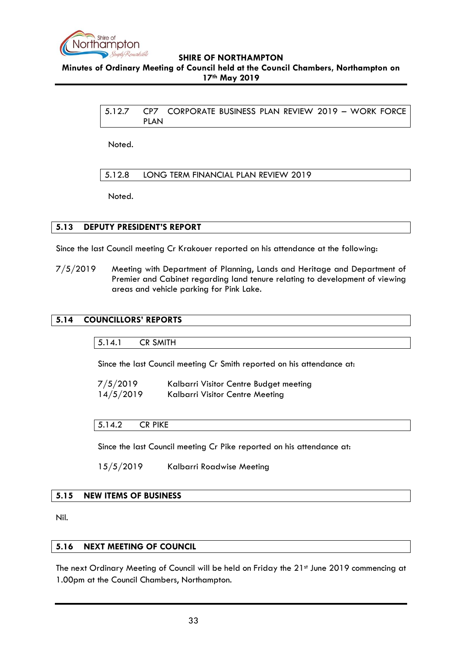

<span id="page-32-0"></span>**Minutes of Ordinary Meeting of Council held at the Council Chambers, Northampton on 17th May 2019**

> 5.12.7 CP7 CORPORATE BUSINESS PLAN REVIEW 2019 – WORK FORCE PLAN

Noted.

<span id="page-32-1"></span>5.12.8 LONG TERM FINANCIAL PLAN REVIEW 2019

Noted.

## <span id="page-32-2"></span>**5.13 DEPUTY PRESIDENT'S REPORT**

Since the last Council meeting Cr Krakouer reported on his attendance at the following:

7/5/2019 Meeting with Department of Planning, Lands and Heritage and Department of Premier and Cabinet regarding land tenure relating to development of viewing areas and vehicle parking for Pink Lake.

#### <span id="page-32-4"></span><span id="page-32-3"></span>**5.14 COUNCILLORS' REPORTS**

5.14.1 CR SMITH

Since the last Council meeting Cr Smith reported on his attendance at:

| 7/5/2019  | Kalbarri Visitor Centre Budget meeting |
|-----------|----------------------------------------|
| 14/5/2019 | Kalbarri Visitor Centre Meeting        |

### <span id="page-32-5"></span>5.14.2 CR PIKE

Since the last Council meeting Cr Pike reported on his attendance at:

15/5/2019 Kalbarri Roadwise Meeting

#### <span id="page-32-6"></span>**5.15 NEW ITEMS OF BUSINESS**

Nil.

#### <span id="page-32-7"></span>**5.16 NEXT MEETING OF COUNCIL**

The next Ordinary Meeting of Council will be held on Friday the 21st June 2019 commencing at 1.00pm at the Council Chambers, Northampton.